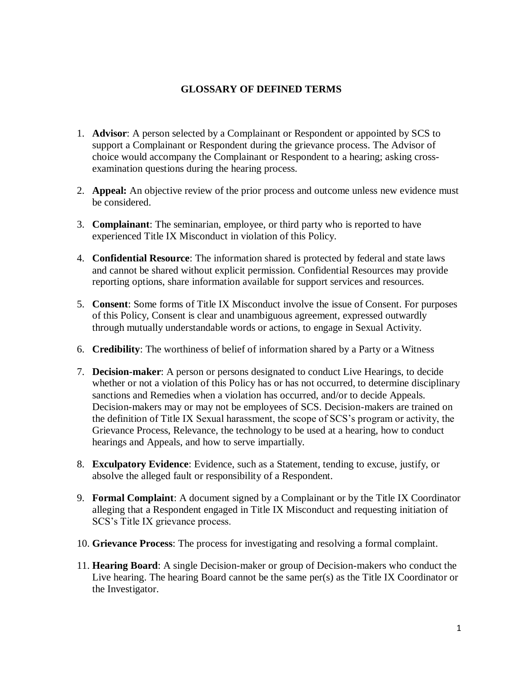## **GLOSSARY OF DEFINED TERMS**

- 1. **Advisor**: A person selected by a Complainant or Respondent or appointed by SCS to support a Complainant or Respondent during the grievance process. The Advisor of choice would accompany the Complainant or Respondent to a hearing; asking crossexamination questions during the hearing process.
- 2. **Appeal:** An objective review of the prior process and outcome unless new evidence must be considered.
- 3. **Complainant**: The seminarian, employee, or third party who is reported to have experienced Title IX Misconduct in violation of this Policy.
- 4. **Confidential Resource**: The information shared is protected by federal and state laws and cannot be shared without explicit permission. Confidential Resources may provide reporting options, share information available for support services and resources.
- 5. **Consent**: Some forms of Title IX Misconduct involve the issue of Consent. For purposes of this Policy, Consent is clear and unambiguous agreement, expressed outwardly through mutually understandable words or actions, to engage in Sexual Activity.
- 6. **Credibility**: The worthiness of belief of information shared by a Party or a Witness
- 7. **Decision-maker**: A person or persons designated to conduct Live Hearings, to decide whether or not a violation of this Policy has or has not occurred, to determine disciplinary sanctions and Remedies when a violation has occurred, and/or to decide Appeals. Decision-makers may or may not be employees of SCS. Decision-makers are trained on the definition of Title IX Sexual harassment, the scope of SCS's program or activity, the Grievance Process, Relevance, the technology to be used at a hearing, how to conduct hearings and Appeals, and how to serve impartially.
- 8. **Exculpatory Evidence**: Evidence, such as a Statement, tending to excuse, justify, or absolve the alleged fault or responsibility of a Respondent.
- 9. **Formal Complaint**: A document signed by a Complainant or by the Title IX Coordinator alleging that a Respondent engaged in Title IX Misconduct and requesting initiation of SCS's Title IX grievance process.
- 10. **Grievance Process**: The process for investigating and resolving a formal complaint.
- 11. **Hearing Board**: A single Decision-maker or group of Decision-makers who conduct the Live hearing. The hearing Board cannot be the same per(s) as the Title IX Coordinator or the Investigator.